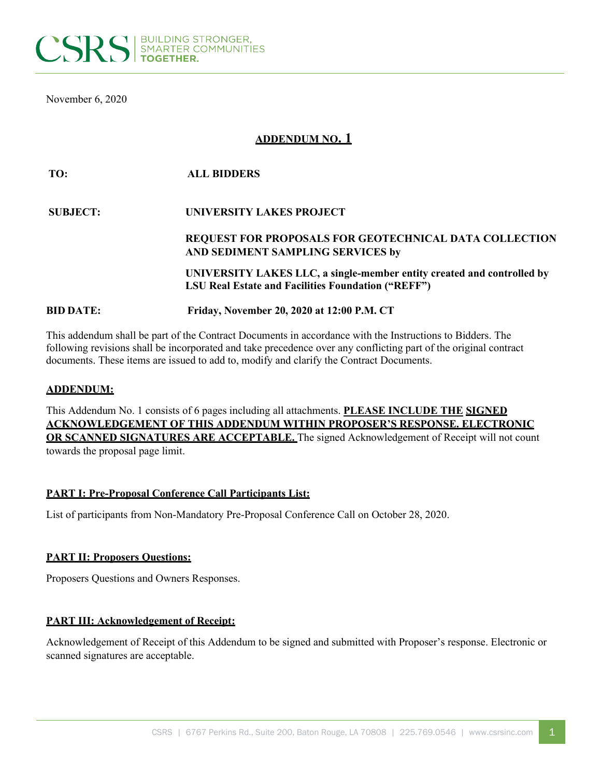

November 6, 2020

# **ADDENDUM NO. 1**

| TO:              | <b>ALL BIDDERS</b>                                                                                                                  |
|------------------|-------------------------------------------------------------------------------------------------------------------------------------|
| <b>SUBJECT:</b>  | UNIVERSITY LAKES PROJECT                                                                                                            |
|                  | <b>REQUEST FOR PROPOSALS FOR GEOTECHNICAL DATA COLLECTION</b><br>AND SEDIMENT SAMPLING SERVICES by                                  |
|                  | UNIVERSITY LAKES LLC, a single-member entity created and controlled by<br><b>LSU Real Estate and Facilities Foundation ("REFF")</b> |
| <b>BID DATE:</b> | Friday, November 20, 2020 at 12:00 P.M. CT                                                                                          |

This addendum shall be part of the Contract Documents in accordance with the Instructions to Bidders. The following revisions shall be incorporated and take precedence over any conflicting part of the original contract documents. These items are issued to add to, modify and clarify the Contract Documents.

### **ADDENDUM:**

This Addendum No. 1 consists of 6 pages including all attachments. **PLEASE INCLUDE THE SIGNED ACKNOWLEDGEMENT OF THIS ADDENDUM WITHIN PROPOSER'S RESPONSE. ELECTRONIC OR SCANNED SIGNATURES ARE ACCEPTABLE.** The signed Acknowledgement of Receipt will not count towards the proposal page limit.

#### **PART I: Pre-Proposal Conference Call Participants List:**

List of participants from Non-Mandatory Pre-Proposal Conference Call on October 28, 2020.

#### **PART II: Proposers Questions:**

Proposers Questions and Owners Responses.

#### **PART III: Acknowledgement of Receipt:**

Acknowledgement of Receipt of this Addendum to be signed and submitted with Proposer's response. Electronic or scanned signatures are acceptable.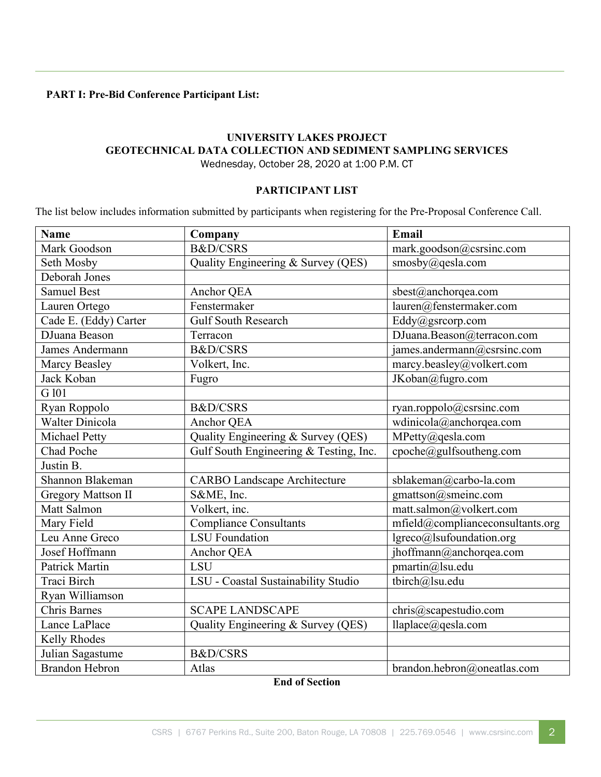# **PART I: Pre-Bid Conference Participant List:**

# **UNIVERSITY LAKES PROJECT GEOTECHNICAL DATA COLLECTION AND SEDIMENT SAMPLING SERVICES** Wednesday, October 28, 2020 at 1:00 P.M. CT

### **PARTICIPANT LIST**

The list below includes information submitted by participants when registering for the Pre-Proposal Conference Call.

| <b>Name</b>               | Company                                | Email                            |
|---------------------------|----------------------------------------|----------------------------------|
| Mark Goodson              | B&D/CSRS                               | mark.goodson@csrsinc.com         |
| Seth Mosby                | Quality Engineering & Survey (QES)     | smosby@qesla.com                 |
| Deborah Jones             |                                        |                                  |
| <b>Samuel Best</b>        | Anchor QEA                             | sbest@anchorqea.com              |
| Lauren Ortego             | Fenstermaker                           | lauren@fenstermaker.com          |
| Cade E. (Eddy) Carter     | <b>Gulf South Research</b>             | Eddy@gsrcorp.com                 |
| DJuana Beason             | Terracon                               | DJuana.Beason@terracon.com       |
| James Andermann           | <b>B&amp;D/CSRS</b>                    | james.andermann@csrsinc.com      |
| Marcy Beasley             | Volkert, Inc.                          | marcy.beasley@volkert.com        |
| Jack Koban                | Fugro                                  | JKoban@fugro.com                 |
| G 101                     |                                        |                                  |
| Ryan Roppolo              | <b>B&amp;D/CSRS</b>                    | ryan.roppolo@csrsinc.com         |
| <b>Walter Dinicola</b>    | Anchor QEA                             | wdinicola@anchorqea.com          |
| Michael Petty             | Quality Engineering & Survey (QES)     | MPetty@qesla.com                 |
| Chad Poche                | Gulf South Engineering & Testing, Inc. | cpoche@gulfsoutheng.com          |
| Justin B.                 |                                        |                                  |
| Shannon Blakeman          | <b>CARBO Landscape Architecture</b>    | sblakeman@carbo-la.com           |
| <b>Gregory Mattson II</b> | S&ME, Inc.                             | gmattson@smeinc.com              |
| Matt Salmon               | Volkert, inc.                          | matt.salmon@volkert.com          |
| Mary Field                | <b>Compliance Consultants</b>          | mfield@complianceconsultants.org |
| Leu Anne Greco            | <b>LSU</b> Foundation                  | lgreco@lsufoundation.org         |
| Josef Hoffmann            | Anchor QEA                             | jhoffmann@anchorqea.com          |
| <b>Patrick Martin</b>     | <b>LSU</b>                             | pmartin@lsu.edu                  |
| Traci Birch               | LSU - Coastal Sustainability Studio    | tbirch@lsu.edu                   |
| Ryan Williamson           |                                        |                                  |
| Chris Barnes              | <b>SCAPE LANDSCAPE</b>                 | chris@scapestudio.com            |
| Lance LaPlace             | Quality Engineering & Survey (QES)     | llaplace@qesla.com               |
| Kelly Rhodes              |                                        |                                  |
| Julian Sagastume          | B&D/CSRS                               |                                  |
| <b>Brandon Hebron</b>     | Atlas                                  | brandon.hebron@oneatlas.com      |

**End of Section**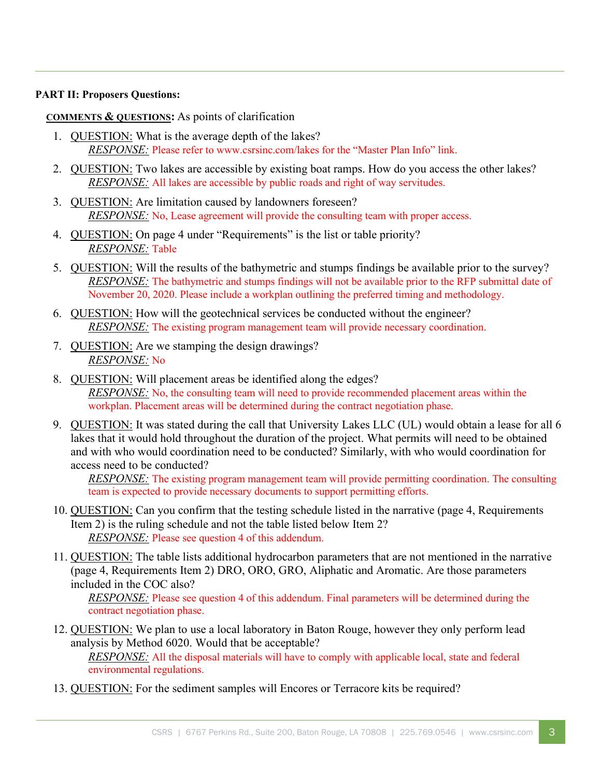### **PART II: Proposers Questions:**

## **COMMENTS & QUESTIONS:** As points of clarification

- 1. QUESTION: What is the average depth of the lakes? *RESPONSE:* Please refer to www.csrsinc.com/lakes for the "Master Plan Info" link.
- 2. QUESTION: Two lakes are accessible by existing boat ramps. How do you access the other lakes? *RESPONSE:* All lakes are accessible by public roads and right of way servitudes.
- 3. QUESTION: Are limitation caused by landowners foreseen? *RESPONSE:* No, Lease agreement will provide the consulting team with proper access.
- 4. QUESTION: On page 4 under "Requirements" is the list or table priority? *RESPONSE:* Table
- 5. QUESTION: Will the results of the bathymetric and stumps findings be available prior to the survey? *RESPONSE:* The bathymetric and stumps findings will not be available prior to the RFP submittal date of November 20, 2020. Please include a workplan outlining the preferred timing and methodology.
- 6. QUESTION: How will the geotechnical services be conducted without the engineer? *RESPONSE*: The existing program management team will provide necessary coordination.
- 7. QUESTION: Are we stamping the design drawings? *RESPONSE:* No
- 8. QUESTION: Will placement areas be identified along the edges? *RESPONSE:* No, the consulting team will need to provide recommended placement areas within the workplan. Placement areas will be determined during the contract negotiation phase.
- 9. QUESTION: It was stated during the call that University Lakes LLC (UL) would obtain a lease for all 6 lakes that it would hold throughout the duration of the project. What permits will need to be obtained and with who would coordination need to be conducted? Similarly, with who would coordination for access need to be conducted?

*RESPONSE:* The existing program management team will provide permitting coordination. The consulting team is expected to provide necessary documents to support permitting efforts.

- 10. QUESTION: Can you confirm that the testing schedule listed in the narrative (page 4, Requirements Item 2) is the ruling schedule and not the table listed below Item 2? *RESPONSE:* Please see question 4 of this addendum.
- 11. QUESTION: The table lists additional hydrocarbon parameters that are not mentioned in the narrative (page 4, Requirements Item 2) DRO, ORO, GRO, Aliphatic and Aromatic. Are those parameters included in the COC also?

*RESPONSE:* Please see question 4 of this addendum. Final parameters will be determined during the contract negotiation phase.

- 12. QUESTION: We plan to use a local laboratory in Baton Rouge, however they only perform lead analysis by Method 6020. Would that be acceptable? *RESPONSE:* All the disposal materials will have to comply with applicable local, state and federal environmental regulations.
- 13. QUESTION: For the sediment samples will Encores or Terracore kits be required?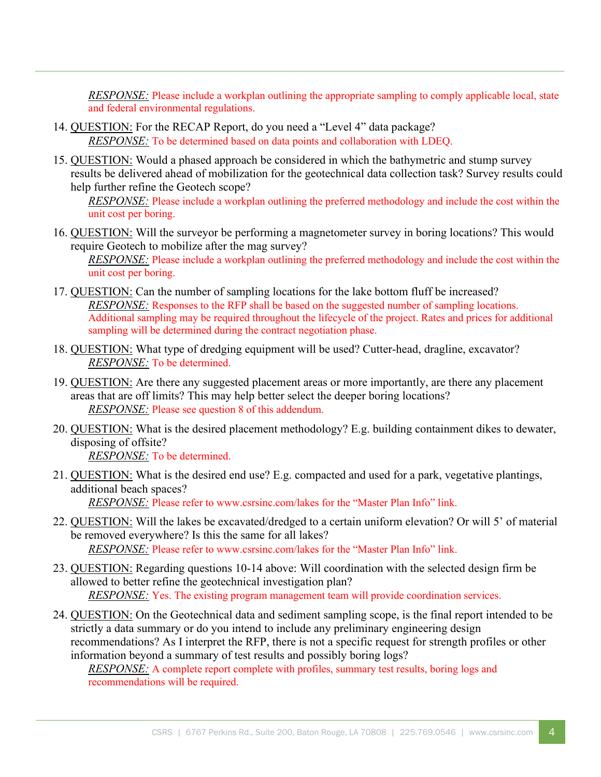*RESPONSE:* Please include a workplan outlining the appropriate sampling to comply applicable local, state and federal environmental regulations.

- 14. QUESTION: For the RECAP Report, do you need a "Level 4" data package? *RESPONSE:* To be determined based on data points and collaboration with LDEQ.
- 15. QUESTION: Would a phased approach be considered in which the bathymetric and stump survey results be delivered ahead of mobilization for the geotechnical data collection task? Survey results could help further refine the Geotech scope?

*RESPONSE:* Please include a workplan outlining the preferred methodology and include the cost within the unit cost per boring.

- 16. QUESTION: Will the surveyor be performing a magnetometer survey in boring locations? This would require Geotech to mobilize after the mag survey? *RESPONSE:* Please include a workplan outlining the preferred methodology and include the cost within the unit cost per boring.
- 17. QUESTION: Can the number of sampling locations for the lake bottom fluff be increased? *RESPONSE:* Responses to the RFP shall be based on the suggested number of sampling locations. Additional sampling may be required throughout the lifecycle of the project. Rates and prices for additional sampling will be determined during the contract negotiation phase.
- 18. QUESTION: What type of dredging equipment will be used? Cutter-head, dragline, excavator? *RESPONSE:* To be determined.
- 19. QUESTION: Are there any suggested placement areas or more importantly, are there any placement areas that are off limits? This may help better select the deeper boring locations? *RESPONSE:* Please see question 8 of this addendum.
- 20. QUESTION: What is the desired placement methodology? E.g. building containment dikes to dewater, disposing of offsite? *RESPONSE:* To be determined.
- 21. QUESTION: What is the desired end use? E.g. compacted and used for a park, vegetative plantings, additional beach spaces? *RESPONSE:* Please refer to www.csrsinc.com/lakes for the "Master Plan Info" link.
- 22. QUESTION: Will the lakes be excavated/dredged to a certain uniform elevation? Or will 5' of material be removed everywhere? Is this the same for all lakes? *RESPONSE:* Please refer to www.csrsinc.com/lakes for the "Master Plan Info" link.
- 23. QUESTION: Regarding questions 10-14 above: Will coordination with the selected design firm be allowed to better refine the geotechnical investigation plan? *RESPONSE:* Yes. The existing program management team will provide coordination services.
- 24. QUESTION: On the Geotechnical data and sediment sampling scope, is the final report intended to be strictly a data summary or do you intend to include any preliminary engineering design recommendations? As I interpret the RFP, there is not a specific request for strength profiles or other information beyond a summary of test results and possibly boring logs?

*RESPONSE:* A complete report complete with profiles, summary test results, boring logs and recommendations will be required.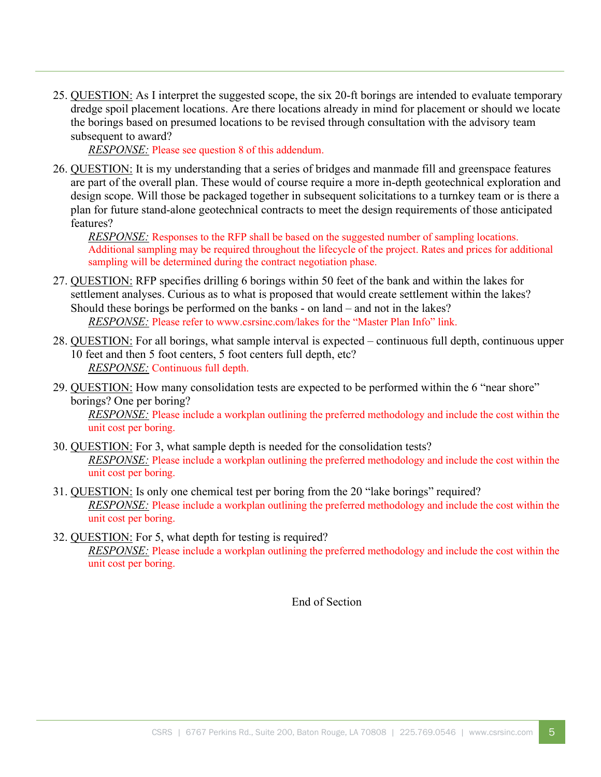25. QUESTION: As I interpret the suggested scope, the six 20-ft borings are intended to evaluate temporary dredge spoil placement locations. Are there locations already in mind for placement or should we locate the borings based on presumed locations to be revised through consultation with the advisory team subsequent to award?

*RESPONSE:* Please see question 8 of this addendum.

26. QUESTION: It is my understanding that a series of bridges and manmade fill and greenspace features are part of the overall plan. These would of course require a more in-depth geotechnical exploration and design scope. Will those be packaged together in subsequent solicitations to a turnkey team or is there a plan for future stand-alone geotechnical contracts to meet the design requirements of those anticipated features?

*RESPONSE:* Responses to the RFP shall be based on the suggested number of sampling locations. Additional sampling may be required throughout the lifecycle of the project. Rates and prices for additional sampling will be determined during the contract negotiation phase.

- 27. QUESTION: RFP specifies drilling 6 borings within 50 feet of the bank and within the lakes for settlement analyses. Curious as to what is proposed that would create settlement within the lakes? Should these borings be performed on the banks - on land – and not in the lakes? *RESPONSE:* Please refer to www.csrsinc.com/lakes for the "Master Plan Info" link.
- 28. QUESTION: For all borings, what sample interval is expected continuous full depth, continuous upper 10 feet and then 5 foot centers, 5 foot centers full depth, etc? *RESPONSE:* Continuous full depth.
- 29. QUESTION: How many consolidation tests are expected to be performed within the 6 "near shore" borings? One per boring?

*RESPONSE*: Please include a workplan outlining the preferred methodology and include the cost within the unit cost per boring.

- 30. QUESTION: For 3, what sample depth is needed for the consolidation tests? *RESPONSE:* Please include a workplan outlining the preferred methodology and include the cost within the unit cost per boring.
- 31. QUESTION: Is only one chemical test per boring from the 20 "lake borings" required? *RESPONSE:* Please include a workplan outlining the preferred methodology and include the cost within the unit cost per boring.
- 32. QUESTION: For 5, what depth for testing is required? *RESPONSE:* Please include a workplan outlining the preferred methodology and include the cost within the unit cost per boring.

End of Section